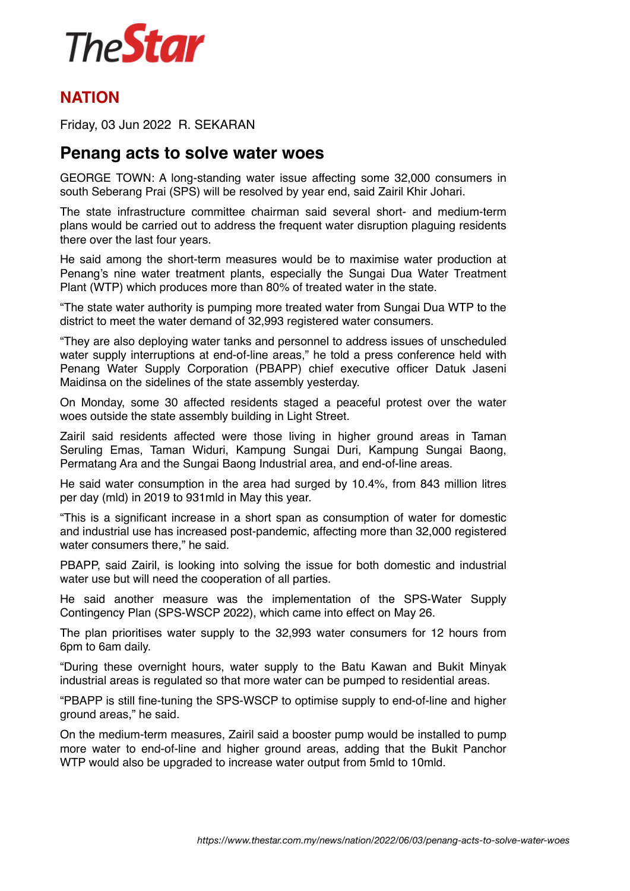

## **NATION**

Friday, 03 Jun 2022 R. SEKARAN

## **Penang acts to solve water woes**

GEORGE TOWN: A long-standing water issue affecting some 32,000 consumers in south Seberang Prai (SPS) will be resolved by year end, said Zairil Khir Johari.

The state infrastructure committee chairman said several short- and medium-term plans would be carried out to address the frequent water disruption plaguing residents there over the last four years.

He said among the short-term measures would be to maximise water production at Penang's nine water treatment plants, especially the Sungai Dua Water Treatment Plant (WTP) which produces more than 80% of treated water in the state.

"The state water authority is pumping more treated water from Sungai Dua WTP to the district to meet the water demand of 32,993 registered water consumers.

"They are also deploying water tanks and personnel to address issues of unscheduled water supply interruptions at end-of-line areas," he told a press conference held with Penang Water Supply Corporation (PBAPP) chief executive officer Datuk Jaseni Maidinsa on the sidelines of the state assembly yesterday.

On Monday, some 30 affected residents staged a peaceful protest over the water woes outside the state assembly building in Light Street.

Zairil said residents affected were those living in higher ground areas in Taman Seruling Emas, Taman Widuri, Kampung Sungai Duri, Kampung Sungai Baong, Permatang Ara and the Sungai Baong Industrial area, and end-of-line areas.

He said water consumption in the area had surged by 10.4%, from 843 million litres per day (mld) in 2019 to 931mld in May this year.

"This is a significant increase in a short span as consumption of water for domestic and industrial use has increased post-pandemic, affecting more than 32,000 registered water consumers there," he said.

PBAPP, said Zairil, is looking into solving the issue for both domestic and industrial water use but will need the cooperation of all parties.

He said another measure was the implementation of the SPS-Water Supply Contingency Plan (SPS-WSCP 2022), which came into effect on May 26.

The plan prioritises water supply to the 32,993 water consumers for 12 hours from 6pm to 6am daily.

"During these overnight hours, water supply to the Batu Kawan and Bukit Minyak industrial areas is regulated so that more water can be pumped to residential areas.

"PBAPP is still fine-tuning the SPS-WSCP to optimise supply to end-of-line and higher ground areas," he said.

On the medium-term measures, Zairil said a booster pump would be installed to pump more water to end-of-line and higher ground areas, adding that the Bukit Panchor WTP would also be upgraded to increase water output from 5mld to 10mld.